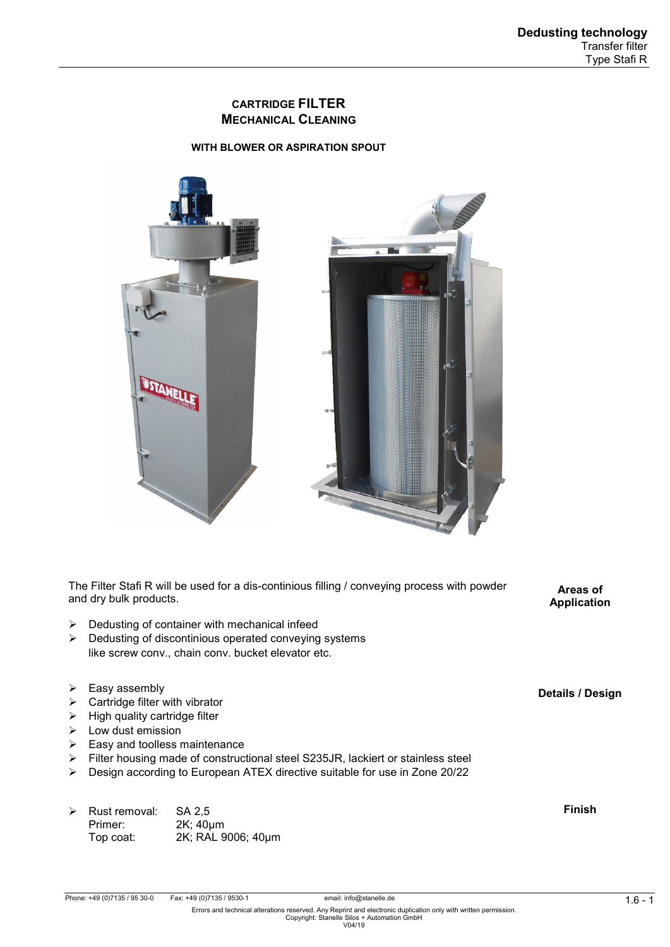# **CARTRIDGE FILTER MECHANICAL CLEANING**

### **WITH BLOWER OR ASPIRATION SPOUT**



The Filter Stafi R will be used for a dis-continious filling / conveying process with powder and dry bulk products.

- $\triangleright$  Dedusting of container with mechanical infeed
- $\triangleright$  Dedusting of discontinious operated conveying systems like screw conv., chain conv. bucket elevator etc.
- $\triangleright$  Easy assembly
- $\triangleright$  Cartridge filter with vibrator
- $\triangleright$  High quality cartridge filter
- $\triangleright$  Low dust emission
- $\triangleright$  Easy and toolless maintenance
- Filter housing made of constructional steel S235JR, lackiert or stainless steel
- Design according to European ATEX directive suitable for use in Zone 20/22

| ➤ | Rust removal: | SA 2.5             |
|---|---------------|--------------------|
|   | Primer:       | $2K$ ; $40 \mu m$  |
|   | Top coat:     | 2K; RAL 9006; 40µm |

**Finish** 

email: info@stanelle.de<br>Errors and technical alterations reserved. Any Reprint and electronic duplication only with written permission.<br>Copyright: Stanelle Silos + Automation GmbH<br>V04/19

**Areas of Application** 

**Details / Design**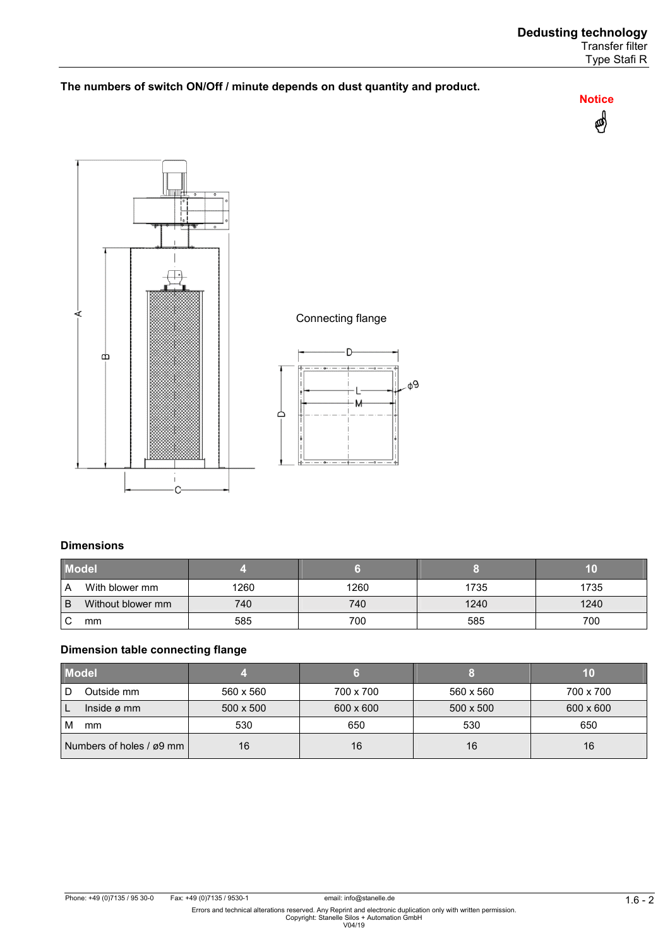## **The numbers of switch ON/Off / minute depends on dust quantity and product.**







φ9

# **Dimensions**

| <b>Model</b> |                   |      |      |      |      |
|--------------|-------------------|------|------|------|------|
| A            | With blower mm    | 1260 | 1260 | 1735 | 1735 |
| B            | Without blower mm | 740  | 740  | 1240 | 1240 |
|              | mm                | 585  | 700  | 585  | 700  |

## **Dimension table connecting flange**

| <b>Model</b>             |           |           |           | 10        |
|--------------------------|-----------|-----------|-----------|-----------|
| Outside mm<br>. D        | 560 x 560 | 700 x 700 | 560 x 560 | 700 x 700 |
| Inside $\varnothing$ mm  | 500 x 500 | 600 x 600 | 500 x 500 | 600 x 600 |
| M<br>mm                  | 530       | 650       | 530       | 650       |
| Numbers of holes / ø9 mm | 16        | 16        | 16        | 16        |